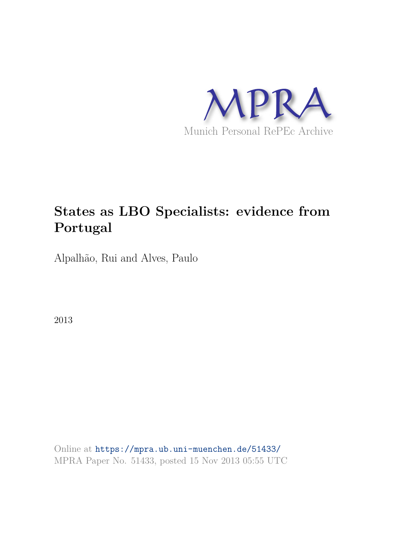

# **States as LBO Specialists: evidence from Portugal**

Alpalhão, Rui and Alves, Paulo

2013

Online at https://mpra.ub.uni-muenchen.de/51433/ MPRA Paper No. 51433, posted 15 Nov 2013 05:55 UTC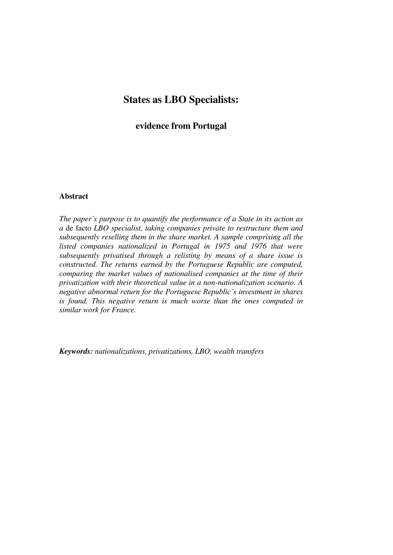# **States as LBO Specialists:**

## **evidence from Portugal**

#### **Abstract**

*The paper's purpose is to quantify the performance of a State in its action as a* de facto *LBO specialist, taking companies private to restructure them and subsequently reselling them in the share market. A sample comprising all the listed companies nationalized in Portugal in 1975 and 1976 that were subsequently privatised through a relisting by means of a share issue is constructed. The returns earned by the Portuguese Republic are computed, comparing the market values of nationalised companies at the time of their privatization with their theoretical value in a non-nationalization scenario. A negative abnormal return for the Portuguese Republic's investment in shares is found. This negative return is much worse than the ones computed in similar work for France.* 

*Keywords: nationalizations, privatizations, LBO, wealth transfers*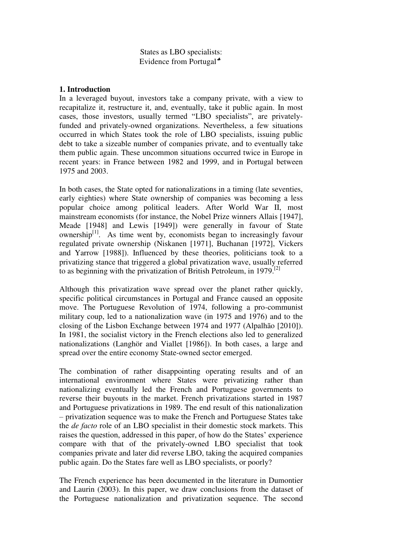States as LBO specialists: Evidence from Portugal

#### **1. Introduction**

In a leveraged buyout, investors take a company private, with a view to recapitalize it, restructure it, and, eventually, take it public again. In most cases, those investors, usually termed "LBO specialists", are privatelyfunded and privately-owned organizations. Nevertheless, a few situations occurred in which States took the role of LBO specialists, issuing public debt to take a sizeable number of companies private, and to eventually take them public again. These uncommon situations occurred twice in Europe in recent years: in France between 1982 and 1999, and in Portugal between 1975 and 2003.

In both cases, the State opted for nationalizations in a timing (late seventies, early eighties) where State ownership of companies was becoming a less popular choice among political leaders. After World War II, most mainstream economists (for instance, the Nobel Prize winners Allais [1947], Meade [1948] and Lewis [1949]) were generally in favour of State ownership $<sup>[1]</sup>$ . As time went by, economists began to increasingly favour</sup> regulated private ownership (Niskanen [1971], Buchanan [1972], Vickers and Yarrow [1988]). Influenced by these theories, politicians took to a privatizing stance that triggered a global privatization wave, usually referred to as beginning with the privatization of British Petroleum, in 1979.[2]

Although this privatization wave spread over the planet rather quickly, specific political circumstances in Portugal and France caused an opposite move. The Portuguese Revolution of 1974, following a pro-communist military coup, led to a nationalization wave (in 1975 and 1976) and to the closing of the Lisbon Exchange between 1974 and 1977 (Alpalhão [2010]). In 1981, the socialist victory in the French elections also led to generalized nationalizations (Langhör and Viallet [1986]). In both cases, a large and spread over the entire economy State-owned sector emerged.

The combination of rather disappointing operating results and of an international environment where States were privatizing rather than nationalizing eventually led the French and Portuguese governments to reverse their buyouts in the market. French privatizations started in 1987 and Portuguese privatizations in 1989. The end result of this nationalization – privatization sequence was to make the French and Portuguese States take the *de facto* role of an LBO specialist in their domestic stock markets. This raises the question, addressed in this paper, of how do the States' experience compare with that of the privately-owned LBO specialist that took companies private and later did reverse LBO, taking the acquired companies public again. Do the States fare well as LBO specialists, or poorly?

The French experience has been documented in the literature in Dumontier and Laurin (2003). In this paper, we draw conclusions from the dataset of the Portuguese nationalization and privatization sequence. The second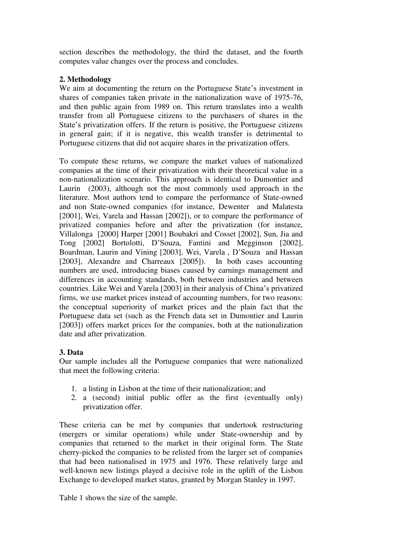section describes the methodology, the third the dataset, and the fourth computes value changes over the process and concludes.

### **2. Methodology**

We aim at documenting the return on the Portuguese State's investment in shares of companies taken private in the nationalization wave of 1975-76, and then public again from 1989 on. This return translates into a wealth transfer from all Portuguese citizens to the purchasers of shares in the State's privatization offers. If the return is positive, the Portuguese citizens in general gain; if it is negative, this wealth transfer is detrimental to Portuguese citizens that did not acquire shares in the privatization offers.

To compute these returns, we compare the market values of nationalized companies at the time of their privatization with their theoretical value in a non-nationalization scenario. This approach is identical to Dumontier and Laurin (2003), although not the most commonly used approach in the literature. Most authors tend to compare the performance of State-owned and non State-owned companies (for instance, Dewenter and Malatesta [2001], Wei, Varela and Hassan [2002]), or to compare the performance of privatized companies before and after the privatization (for instance, Villalonga [2000] Harper [2001] Boubakri and Cosset [2002], Sun, Jia and Tong [2002] Bortolotti, D'Souza, Fantini and Megginson [2002], Boardman, Laurin and Vining [2003], Wei, Varela , D'Souza and Hassan [2003], Alexandre and Charreaux [2005]). In both cases accounting numbers are used, introducing biases caused by earnings management and differences in accounting standards, both between industries and between countries. Like Wei and Varela [2003] in their analysis of China's privatized firms, we use market prices instead of accounting numbers, for two reasons: the conceptual superiority of market prices and the plain fact that the Portuguese data set (such as the French data set in Dumontier and Laurin [2003]) offers market prices for the companies, both at the nationalization date and after privatization.

# **3. Data**

Our sample includes all the Portuguese companies that were nationalized that meet the following criteria:

- 1. a listing in Lisbon at the time of their nationalization; and
- 2. a (second) initial public offer as the first (eventually only) privatization offer.

These criteria can be met by companies that undertook restructuring (mergers or similar operations) while under State-ownership and by companies that returned to the market in their original form. The State cherry-picked the companies to be relisted from the larger set of companies that had been nationalised in 1975 and 1976. These relatively large and well-known new listings played a decisive role in the uplift of the Lisbon Exchange to developed market status, granted by Morgan Stanley in 1997.

Table 1 shows the size of the sample.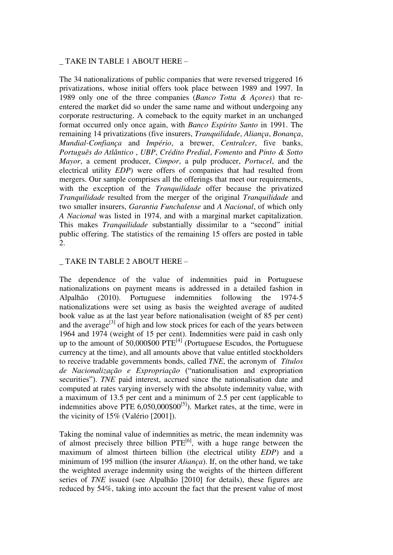#### \_ TAKE IN TABLE 1 ABOUT HERE –

The 34 nationalizations of public companies that were reversed triggered 16 privatizations, whose initial offers took place between 1989 and 1997. In 1989 only one of the three companies (*Banco Totta & Açores*) that reentered the market did so under the same name and without undergoing any corporate restructuring. A comeback to the equity market in an unchanged format occurred only once again, with *Banco Espírito Santo* in 1991. The remaining 14 privatizations (five insurers, *Tranquilidade*, *Aliança*, *Bonança*, *Mundial-Confiança* and *Império*, a brewer, *Centralcer*, five banks, *Português do Atlântico* , *UBP*, *Crédito Predial*, *Fomento* and *Pinto & Sotto Mayor*, a cement producer, *Cimpor*, a pulp producer, *Portucel*, and the electrical utility *EDP*) were offers of companies that had resulted from mergers. Our sample comprises all the offerings that meet our requirements, with the exception of the *Tranquilidade* offer because the privatized *Tranquilidade* resulted from the merger of the original *Tranquilidade* and two smaller insurers, *Garantia Funchalense* and *A Nacional*, of which only *A Nacional* was listed in 1974, and with a marginal market capitalization. This makes *Tranquilidade* substantially dissimilar to a "second" initial public offering. The statistics of the remaining 15 offers are posted in table  $\mathcal{D}$ 

#### \_ TAKE IN TABLE 2 ABOUT HERE –

The dependence of the value of indemnities paid in Portuguese nationalizations on payment means is addressed in a detailed fashion in Alpalhão (2010). Portuguese indemnities following the 1974-5 nationalizations were set using as basis the weighted average of audited book value as at the last year before nationalisation (weight of 85 per cent) and the average<sup>[3]</sup> of high and low stock prices for each of the years between 1964 and 1974 (weight of 15 per cent). Indemnities were paid in cash only up to the amount of  $50,000\,000$   $PTE^{[4]}$  (Portuguese Escudos, the Portuguese currency at the time), and all amounts above that value entitled stockholders to receive tradable governments bonds, called *TNE*, the acronym of *Títulos de Nacionalização e Expropriação* ("nationalisation and expropriation securities"). *TNE* paid interest, accrued since the nationalisation date and computed at rates varying inversely with the absolute indemnity value, with a maximum of 13.5 per cent and a minimum of 2.5 per cent (applicable to indemnities above PTE  $6,050,000\$  $60^{5}$ . Market rates, at the time, were in the vicinity of 15% (Valério [2001]).

Taking the nominal value of indemnities as metric, the mean indemnity was of almost precisely three billion  $PTE^{[6]}$ , with a huge range between the maximum of almost thirteen billion (the electrical utility *EDP*) and a minimum of 195 million (the insurer *Aliança*). If, on the other hand, we take the weighted average indemnity using the weights of the thirteen different series of *TNE* issued (see Alpalhão [2010] for details), these figures are reduced by 54%, taking into account the fact that the present value of most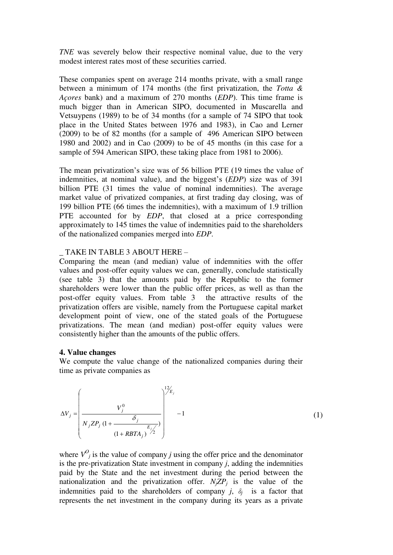*TNE* was severely below their respective nominal value, due to the very modest interest rates most of these securities carried.

These companies spent on average 214 months private, with a small range between a minimum of 174 months (the first privatization, the *Totta & Açores* bank) and a maximum of 270 months (*EDP*). This time frame is much bigger than in American SIPO, documented in Muscarella and Vetsuypens (1989) to be of 34 months (for a sample of 74 SIPO that took place in the United States between 1976 and 1983), in Cao and Lerner (2009) to be of 82 months (for a sample of 496 American SIPO between 1980 and 2002) and in Cao (2009) to be of 45 months (in this case for a sample of 594 American SIPO, these taking place from 1981 to 2006).

The mean privatization's size was of 56 billion PTE (19 times the value of indemnities, at nominal value), and the biggest's (*EDP*) size was of 391 billion PTE (31 times the value of nominal indemnities). The average market value of privatized companies, at first trading day closing, was of 199 billion PTE (66 times the indemnities), with a maximum of 1.9 trillion PTE accounted for by *EDP*, that closed at a price corresponding approximately to 145 times the value of indemnities paid to the shareholders of the nationalized companies merged into *EDP*.

#### \_ TAKE IN TABLE 3 ABOUT HERE –

Comparing the mean (and median) value of indemnities with the offer values and post-offer equity values we can, generally, conclude statistically (see table 3) that the amounts paid by the Republic to the former shareholders were lower than the public offer prices, as well as than the post-offer equity values. From table 3 the attractive results of the privatization offers are visible, namely from the Portuguese capital market development point of view, one of the stated goals of the Portuguese privatizations. The mean (and median) post-offer equity values were consistently higher than the amounts of the public offers.

#### **4. Value changes**

We compute the value change of the nationalized companies during their time as private companies as

$$
\Delta V_{j} = \left(\frac{V_{j}^{0}}{N_{j} Z P_{j} (1 + \frac{\delta_{j}}{(1 + RBTA_{j})^{E_{j}}})}\right)^{1/2_{E_{j}}} - 1
$$
 (1)

where  $V^O$ <sub>*j*</sub> is the value of company *j* using the offer price and the denominator is the pre-privatization State investment in company *j*, adding the indemnities paid by the State and the net investment during the period between the nationalization and the privatization offer.  $N_j Z P_j$  is the value of the indemnities paid to the shareholders of company  $j$ ,  $\delta_j$  is a factor that represents the net investment in the company during its years as a private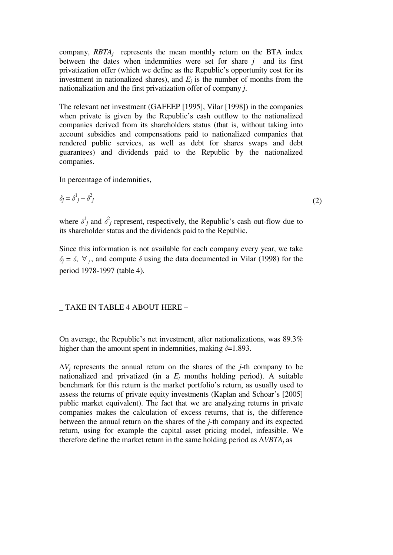company,  $RBTA_j$  represents the mean monthly return on the BTA index between the dates when indemnities were set for share *j* and its first privatization offer (which we define as the Republic's opportunity cost for its investment in nationalized shares), and  $E_j$  is the number of months from the nationalization and the first privatization offer of company *j*.

The relevant net investment (GAFEEP [1995], Vilar [1998]) in the companies when private is given by the Republic's cash outflow to the nationalized companies derived from its shareholders status (that is, without taking into account subsidies and compensations paid to nationalized companies that rendered public services, as well as debt for shares swaps and debt guarantees) and dividends paid to the Republic by the nationalized companies.

In percentage of indemnities,

$$
\delta_j = \delta^1_j - \delta^2_j \tag{2}
$$

where  $\delta^1_j$  and  $\delta^2_j$  represent, respectively, the Republic's cash out-flow due to its shareholder status and the dividends paid to the Republic.

Since this information is not available for each company every year, we take  $\delta_j = \delta$ ,  $\forall$ <sub>*j*</sub>, and compute  $\delta$  using the data documented in Vilar (1998) for the period 1978-1997 (table 4).

#### \_ TAKE IN TABLE 4 ABOUT HERE –

On average, the Republic's net investment, after nationalizations, was 89.3% higher than the amount spent in indemnities, making *δ*=1.893.

 $\Delta V_i$  represents the annual return on the shares of the *j*-th company to be nationalized and privatized (in a  $E_j$  months holding period). A suitable benchmark for this return is the market portfolio's return, as usually used to assess the returns of private equity investments (Kaplan and Schoar's [2005] public market equivalent). The fact that we are analyzing returns in private companies makes the calculation of excess returns, that is, the difference between the annual return on the shares of the *j*-th company and its expected return, using for example the capital asset pricing model, infeasible. We therefore define the market return in the same holding period as  $\Delta VBTA_i$  as

(2)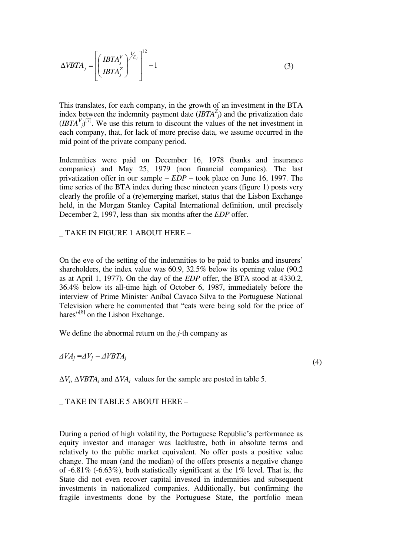$$
\Delta VBTA_j = \left[ \left( \frac{IBTA_j^V}{IBTA_j^Z} \right)^{1/z} \right]^{-1} - 1 \tag{3}
$$

This translates, for each company, in the growth of an investment in the BTA index between the indemnity payment date  $(IBTA<sup>Z</sup>)$  and the privatization date  $(IBTA<sup>V</sup>)<sup>[7]</sup>$ . We use this return to discount the values of the net investment in each company, that, for lack of more precise data, we assume occurred in the mid point of the private company period.

Indemnities were paid on December 16, 1978 (banks and insurance companies) and May 25, 1979 (non financial companies). The last privatization offer in our sample – *EDP* – took place on June 16, 1997. The time series of the BTA index during these nineteen years (figure 1) posts very clearly the profile of a (re)emerging market, status that the Lisbon Exchange held, in the Morgan Stanley Capital International definition, until precisely December 2, 1997, less than six months after the *EDP* offer.

\_ TAKE IN FIGURE 1 ABOUT HERE –

On the eve of the setting of the indemnities to be paid to banks and insurers' shareholders, the index value was 60.9, 32.5% below its opening value (90.2 as at April 1, 1977). On the day of the *EDP* offer, the BTA stood at 4330.2, 36.4% below its all-time high of October 6, 1987, immediately before the interview of Prime Minister Aníbal Cavaco Silva to the Portuguese National Television where he commented that "cats were being sold for the price of hares"<sup>[8]</sup> on the Lisbon Exchange.

We define the abnormal return on the *j*-th company as

 $\Delta VA_i = \Delta V_i - \Delta VBTA_i$ 

(4)

 $\Delta V_j$ ,  $\Delta VBTA_j$  and  $\Delta VA_j$  values for the sample are posted in table 5.

\_ TAKE IN TABLE 5 ABOUT HERE –

During a period of high volatility, the Portuguese Republic's performance as equity investor and manager was lacklustre, both in absolute terms and relatively to the public market equivalent. No offer posts a positive value change. The mean (and the median) of the offers presents a negative change of -6.81% (-6.63%), both statistically significant at the 1% level. That is, the State did not even recover capital invested in indemnities and subsequent investments in nationalized companies. Additionally, but confirming the fragile investments done by the Portuguese State, the portfolio mean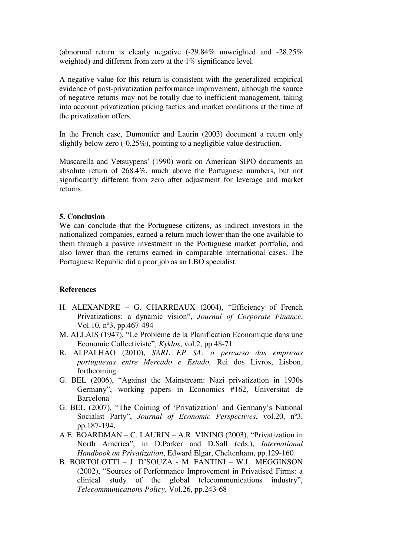(abnormal return is clearly negative (-29.84% unweighted and -28.25% weighted) and different from zero at the 1% significance level.

A negative value for this return is consistent with the generalized empirical evidence of post-privatization performance improvement, although the source of negative returns may not be totally due to inefficient management, taking into account privatization pricing tactics and market conditions at the time of the privatization offers.

In the French case, Dumontier and Laurin (2003) document a return only slightly below zero (-0.25%), pointing to a negligible value destruction.

Muscarella and Vetsuypens' (1990) work on American SIPO documents an absolute return of 268.4%, much above the Portuguese numbers, but not significantly different from zero after adjustment for leverage and market returns.

#### **5. Conclusion**

We can conclude that the Portuguese citizens, as indirect investors in the nationalized companies, earned a return much lower than the one available to them through a passive investment in the Portuguese market portfolio, and also lower than the returns earned in comparable international cases. The Portuguese Republic did a poor job as an LBO specialist.

#### **References**

- H. ALEXANDRE G. CHARREAUX (2004), "Efficiency of French Privatizations: a dynamic vision", *Journal of Corporate Finance*, Vol.10, nº3, pp.467-494
- M. ALLAIS (1947), "Le Problème de la Planification Economique dans une Economie Collectiviste", *Kyklos*, vol.2, pp.48-71
- R. ALPALHÃO (2010), *SARL EP SA: o percurso das empresas portuguesas entre Mercado e Estado,* Rei dos Livros, Lisbon, forthcoming
- G. BEL (2006), "Against the Mainstream: Nazi privatization in 1930s Germany", working papers in Economics #162, Universitat de Barcelona
- G. BEL (2007), "The Coining of 'Privatization' and Germany's National Socialist Party", *Journal of Economic Perspectives*, vol.20, nº3, pp.187-194.
- A.E. BOARDMAN C. LAURIN A.R. VINING (2003), "Privatization in North America", in D.Parker and D.Sall (eds.), *International Handbook on Privatization*, Edward Elgar, Cheltenham, pp.129-160
- B. BORTOLOTTI J. D'SOUZA M. FANTINI W.L. MEGGINSON (2002), "Sources of Performance Improvement in Privatised Firms: a clinical study of the global telecommunications industry", *Telecommunications Policy*, Vol.26, pp.243-68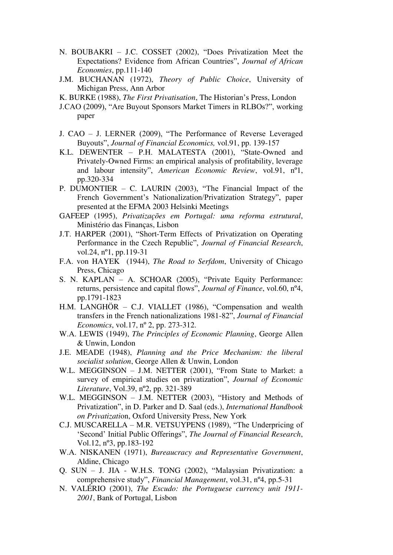- N. BOUBAKRI J.C. COSSET (2002), "Does Privatization Meet the Expectations? Evidence from African Countries", *Journal of African Economies*, pp.111-140
- J.M. BUCHANAN (1972), *Theory of Public Choice*, University of Michigan Press, Ann Arbor
- K. BURKE (1988), *The First Privatisation*, The Historian's Press, London
- J.CAO (2009), "Are Buyout Sponsors Market Timers in RLBOs?", working paper
- J. CAO J. LERNER (2009), "The Performance of Reverse Leveraged Buyouts", *Journal of Financial Economics,* vol.91, pp. 139-157
- K.L. DEWENTER P.H. MALATESTA (2001), "State-Owned and Privately-Owned Firms: an empirical analysis of profitability, leverage and labour intensity", *American Economic Review*, vol.91, nº1, pp.320-334
- P. DUMONTIER C. LAURIN (2003), "The Financial Impact of the French Government's Nationalization/Privatization Strategy", paper presented at the EFMA 2003 Helsinki Meetings
- GAFEEP (1995), *Privatizações em Portugal: uma reforma estrutural*, Ministério das Finanças, Lisbon
- J.T. HARPER (2001), "Short-Term Effects of Privatization on Operating Performance in the Czech Republic", *Journal of Financial Research*, vol.24, nº1, pp.119-31
- F.A. von HAYEK (1944), *The Road to Serfdom*, University of Chicago Press, Chicago
- S. N. KAPLAN A. SCHOAR (2005), "Private Equity Performance: returns, persistence and capital flows", *Journal of Finance*, vol.60, nº4, pp.1791-1823
- H.M. LANGHÖR C.J. VIALLET (1986), "Compensation and wealth transfers in the French nationalizations 1981-82", *Journal of Financial Economics*, vol.17, nº 2, pp. 273-312.
- W.A. LEWIS (1949), *The Principles of Economic Planning*, George Allen & Unwin, London
- J.E. MEADE (1948), *Planning and the Price Mechanism: the liberal socialist solution*, George Allen & Unwin, London
- W.L. MEGGINSON J.M. NETTER (2001), "From State to Market: a survey of empirical studies on privatization", *Journal of Economic Literature*, Vol.39, nº2, pp. 321-389
- W.L. MEGGINSON J.M. NETTER (2003), "History and Methods of Privatization", in D. Parker and D. Saal (eds.), *International Handbook on Privatizati*on, Oxford University Press, New York
- C.J. MUSCARELLA M.R. VETSUYPENS (1989), "The Underpricing of 'Second' Initial Public Offerings", *The Journal of Financial Research*, Vol.12, nº3, pp.183-192
- W.A. NISKANEN (1971), *Bureaucracy and Representative Government*, Aldine, Chicago
- Q. SUN J. JIA W.H.S. TONG (2002), "Malaysian Privatization: a comprehensive study", *Financial Management*, vol.31, nº4, pp.5-31
- N. VALÉRIO (2001), *The Escudo: the Portuguese currency unit 1911- 2001*, Bank of Portugal, Lisbon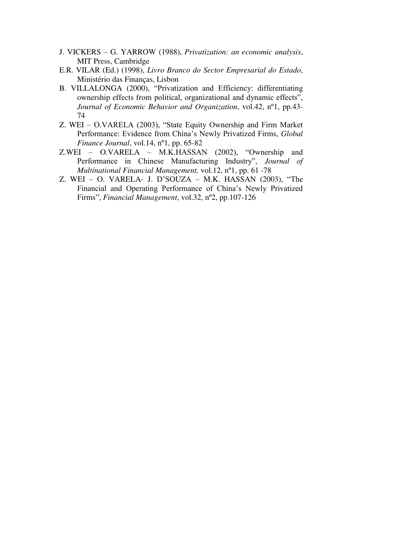- J. VICKERS G. YARROW (1988), *Privatization: an economic analysis*, MIT Press, Cambridge
- E.R. VILAR (Ed.) (1998), *Livro Branco do Sector Empresarial do Estado*, Ministério das Finanças, Lisbon
- B. VILLALONGA (2000), "Privatization and Efficiency: differentiating ownership effects from political, organizational and dynamic effects", *Journal of Economic Behavior and Organization*, vol.42, nº1, pp.43- 74
- Z. WEI O.VARELA (2003), "State Equity Ownership and Firm Market Performance: Evidence from China's Newly Privatized Firms, *Global Finance Journal*, vol.14, nº1, pp. 65-82
- Z.WEI O.VARELA M.K.HASSAN (2002), "Ownership and Performance in Chinese Manufacturing Industry", *Journal of Multinational Financial Management,* vol.12, nº1, pp. 61 -78
- Z. WEI O. VARELA- J. D'SOUZA M.K. HASSAN  $(2003)$ , "The Financial and Operating Performance of China's Newly Privatized Firms", *Financial Management*, vol.32, nº2, pp.107-126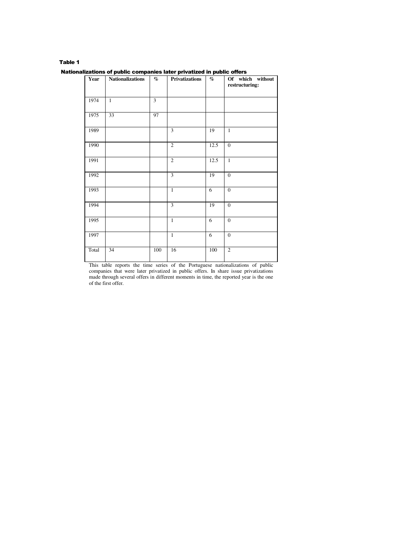| Year  | <b>Nationalizations</b> | $\%$           | <b>Privatizations</b> | $\%$    | Of which without<br>restructuring: |
|-------|-------------------------|----------------|-----------------------|---------|------------------------------------|
| 1974  | $\mathbf{1}$            | $\overline{3}$ |                       |         |                                    |
| 1975  | 33                      | 97             |                       |         |                                    |
| 1989  |                         |                | 3                     | 19      | $\mathbf{1}$                       |
| 1990  |                         |                | $\overline{2}$        | 12.5    | $\overline{0}$                     |
| 1991  |                         |                | $\overline{2}$        | 12.5    | $\mathbf{1}$                       |
| 1992  |                         |                | 3                     | 19      | $\boldsymbol{0}$                   |
| 1993  |                         |                | $\mathbf{1}$          | 6       | $\overline{0}$                     |
| 1994  |                         |                | 3                     | 19      | $\boldsymbol{0}$                   |
| 1995  |                         |                | $\mathbf{1}$          | 6       | $\boldsymbol{0}$                   |
| 1997  |                         |                | $\mathbf{1}$          | 6       | $\boldsymbol{0}$                   |
| Total | 34                      | $100\,$        | 16                    | $100\,$ | $\overline{2}$                     |

This table reports the time series of the Portuguese nationalizations of public companies that were later privatized in public offers. In share issue privatizations made through several offers in different moments in time, the reported year is the one of the first offer.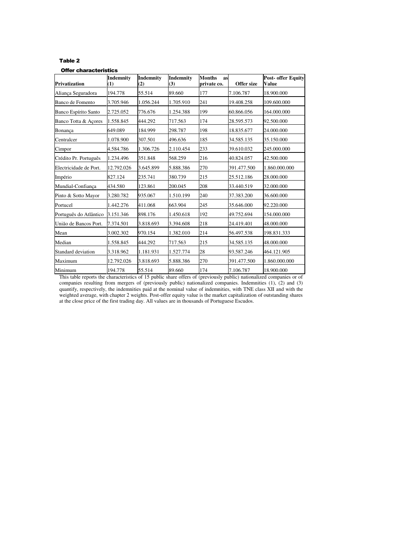#### Offer characteristics

| <b>Privatization</b>   | <b>Indemnity</b><br>(1) | Indemnity<br>(2) | <b>Indemnity</b><br>(3) | <b>Months</b><br>as<br>private co. | Offer size  | <b>Post- offer Equity</b><br><b>Value</b> |
|------------------------|-------------------------|------------------|-------------------------|------------------------------------|-------------|-------------------------------------------|
| Aliança Seguradora     | 194.778                 | 55.514           | 89.660                  | 177                                | 7.106.787   | 18.900.000                                |
| Banco de Fomento       | 3.705.946               | 1.056.244        | 1.705.910               | 241                                | 19.408.258  | 109.600.000                               |
| Banco Espírito Santo   | 2.725.052               | 776.676          | 1.254.388               | 199                                | 60.866.056  | 164.000.000                               |
| Banco Totta & Açores   | 1.558.845               | 444.292          | 717.563                 | 174                                | 28.595.573  | 92.500.000                                |
| Bonança                | 649.089                 | 184.999          | 298.787                 | 198                                | 18.835.677  | 24.000.000                                |
| Centralcer             | 1.078.900               | 307.501          | 496.636                 | 185                                | 34.585.135  | 35.150.000                                |
| Cimpor                 | 4.584.786               | 1.306.726        | 2.110.454               | 233                                | 39.610.032  | 245.000.000                               |
| Crédito Pr. Português  | 1.234.496               | 351.848          | 568.259                 | 216                                | 40.824.057  | 42.500.000                                |
| Electricidade de Port. | 12.792.026              | 3.645.899        | 5.888.386               | 270                                | 391.477.500 | 1.860.000.000                             |
| Império                | 827.124                 | 235.741          | 380.739                 | 215                                | 25.512.186  | 28.000.000                                |
| Mundial-Confianca      | 434.580                 | 123.861          | 200.045                 | 208                                | 33.440.519  | 32.000.000                                |
| Pinto & Sotto Mayor    | 3.280.782               | 935.067          | 1.510.199               | 240                                | 37.383.200  | 36.600.000                                |
| Portucel               | 1.442.276               | 411.068          | 663.904                 | 245                                | 35.646.000  | 92.220.000                                |
| Português do Atlântico | 3.151.346               | 898.176          | 1.450.618               | 192                                | 49.752.694  | 154.000.000                               |
| União de Bancos Port.  | 7.374.501               | 3.818.693        | 3.394.608               | 218                                | 24.419.401  | 48.000.000                                |
| Mean                   | 3.002.302               | 970.154          | 1.382.010               | 214                                | 56.497.538  | 198.831.333                               |
| Median                 | 1.558.845               | 444.292          | 717.563                 | 215                                | 34.585.135  | 48.000.000                                |
| Standard deviation     | 3.318.962               | 1.181.931        | 1.527.774               | 28                                 | 93.587.246  | 464.121.905                               |
| Maximum                | 12.792.026              | 3.818.693        | 5.888.386               | 270                                | 391.477.500 | 1.860.000.000                             |
| Minimum                | 194.778                 | 55.514           | 89.660                  | 174                                | 7.106.787   | 18.900.000                                |

This table reports the characteristics of 15 public share offers of (previously public) nationalized companies or of companies resulting from mergers of (previously public) nationalized companies. Indemnities (1), (2) and (3) quantify, respectively, the indemnities paid at the nominal value of indemnities, with TNE class XII and with the weighted average, with chapter 2 weights. Post-offer equity value is the market capitalization of outstanding shares at the close price of the first trading day. All values are in thousands of Portuguese Escudos.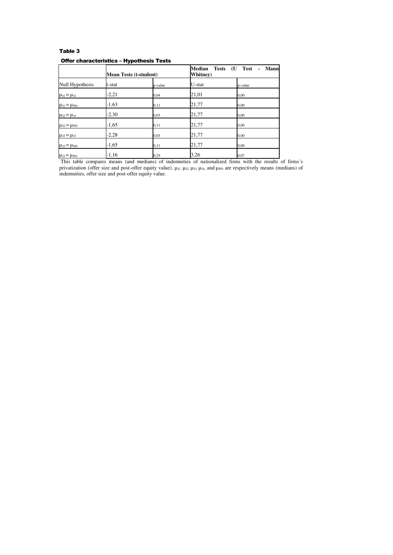#### Table 3 Offer characteristics – Hypothesis Tests

|                              | <b>Mean Tests (t-student)</b> |         | Median<br><b>Tests</b><br><b>Test</b><br><b>Mann</b><br>(U<br>Whitney) |         |  |
|------------------------------|-------------------------------|---------|------------------------------------------------------------------------|---------|--|
| Null Hypothesis              | t-stat                        | p-value | U-stat                                                                 | p-value |  |
| $\mu_{11} = \mu_{0}$         | $-2,21$                       | 0,04    | 21,01                                                                  | 0.00    |  |
| $\mu_{I1} = \mu_{PO}$        | $-1,63$                       | 0,11    | 21,77                                                                  | 0,00    |  |
| $\mu_{I2} = \mu_O$           | $-2,30$                       | 0,03    | 21,77                                                                  | 0,00    |  |
| $\mu_{I2} = \mu_{PO}$        | $-1,65$                       | 0,11    | 21,77                                                                  | 0,00    |  |
| $\mu_{13} = \mu_{0}$         | $-2,28$                       | 0,03    | 21,77                                                                  | 0,00    |  |
| $\mu_{I3} = \mu_{PO}$        | $-1,65$                       | 0,11    | 21,77                                                                  | 0,00    |  |
| $\mu_{\rm O} = \mu_{\rm PO}$ | $-1,16$                       | 0,25    | 3,26                                                                   | 0,07    |  |

This table compares means (and medians) of indemnities of nationalized firms with the results of firms´s privatization (offer size and post-offer equity value).  $\mu_{11}$ ,  $\mu_{12}$ ,  $\mu_{13}$ ,  $\mu_{0}$ , and  $\mu_{PO}$  are respectively means (medians) of indemnities, offer size and post-offer equity value.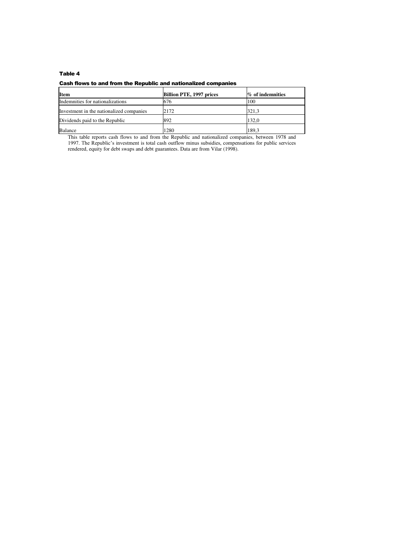#### Cash flows to and from the Republic and nationalized companies

| <b>Item</b>                              | <b>Billion PTE, 1997 prices</b> | % of indemnities |
|------------------------------------------|---------------------------------|------------------|
| Indemnities for nationalizations         | 676                             | 100              |
| Investment in the nationalized companies | 2172                            | 321.3            |
| Dividends paid to the Republic           | 892                             | 132.0            |
| Balance                                  | 1280                            | 189.3            |

This table reports cash flows to and from the Republic and nationalized companies, between 1978 and 1997. The Republic's investment is total cash outflow minus subsidies, compensations for public services rendered, equity for debt swaps and debt guarantees. Data are from Vilar (1998).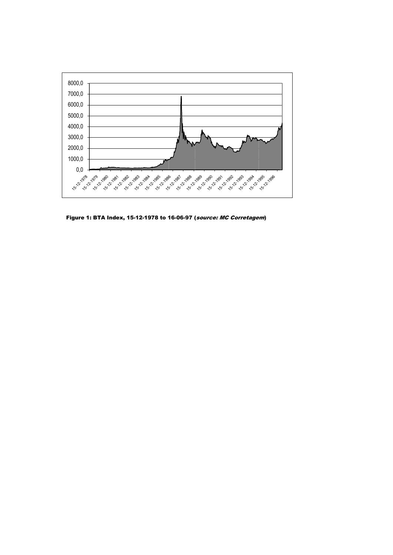

Figure 1: BTA Index, 15-12-1978 to 16-06-97 (source: MC Corretagem)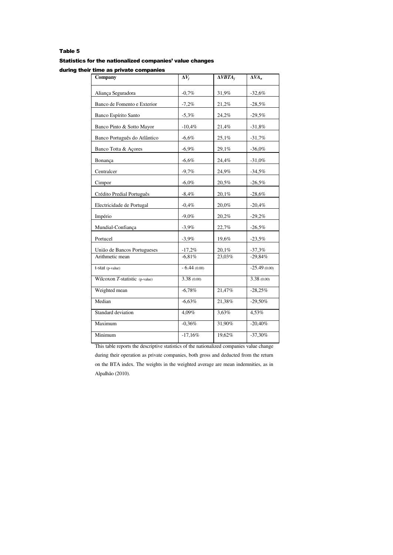#### Statistics for the nationalized companies' value changes

during their time as private companies

| $\Delta V_i$  | $\triangle VBTA_i$ | $\Delta VA_n$  |
|---------------|--------------------|----------------|
| $-0,7%$       | 31,9%              | $-32,6%$       |
| $-7,2%$       | 21,2%              | $-28,5%$       |
| $-5,3%$       | 24,2%              | $-29,5%$       |
| $-10,4%$      | 21,4%              | $-31,8%$       |
| $-6,6%$       | 25,1%              | $-31,7%$       |
| $-6,9%$       | 29,1%              | $-36,0%$       |
| $-6,6%$       | 24,4%              | $-31,0%$       |
| $-9,7%$       | 24,9%              | $-34,5%$       |
| $-6,0%$       | 20,5%              | $-26,5%$       |
| $-8,4%$       | 20,1%              | $-28,6%$       |
| $-0,4%$       | 20,0%              | $-20,4%$       |
| $-9,0%$       | 20,2%              | $-29,2%$       |
| $-3,9%$       | 22,7%              | $-26,5%$       |
| $-3,9%$       | 19,6%              | $-23,5%$       |
| $-17,2%$      | 20,1%              | $-37,3%$       |
|               |                    | $-29,84%$      |
| $-6.44(0.00)$ |                    | $-25.49(0.00)$ |
| 3.38 (0.00)   |                    | 3.38(0.00)     |
| $-6,78%$      | 21,47%             | $-28,25%$      |
| $-6,63%$      | 21,38%             | $-29,50%$      |
| 4,09%         | 3,63%              | 4,53%          |
| $-0,36%$      | 31,90%             | $-20,40%$      |
| $-17,16%$     | 19,62%             | $-37,30%$      |
|               | $-6.81%$           | 23.03%         |

This table reports the descriptive statistics of the nationalized companies value change during their operation as private companies, both gross and deducted from the return on the BTA index. The weights in the weighted average are mean indemnities, as in Alpalhão (2010).